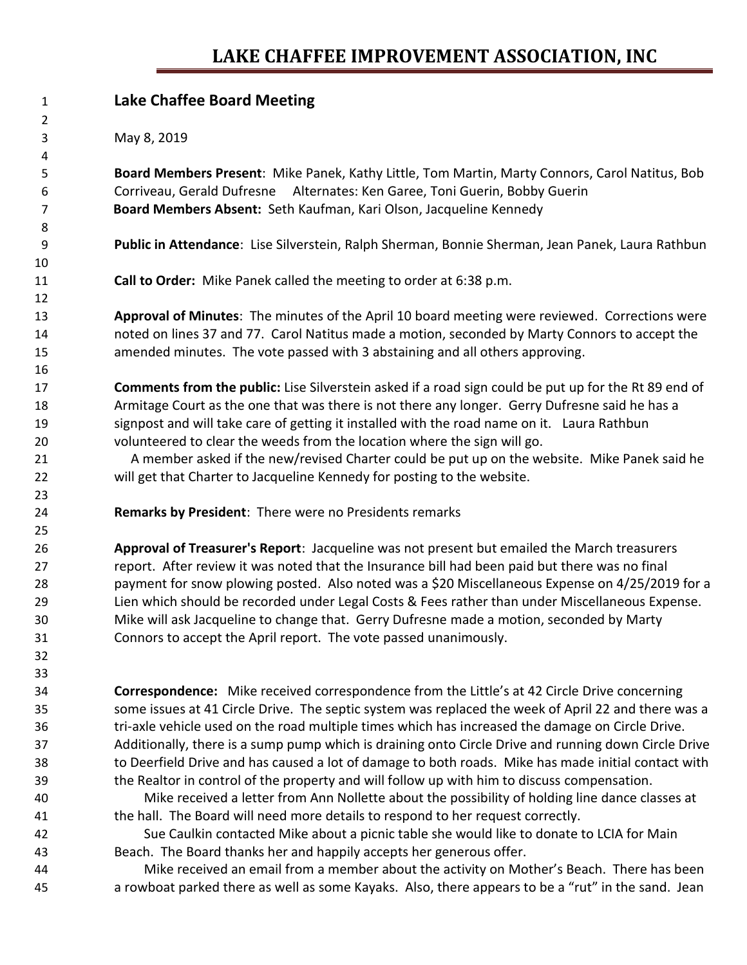## **LAKE CHAFFEE IMPROVEMENT ASSOCIATION, INC**

| $\mathbf{1}$   | <b>Lake Chaffee Board Meeting</b>                                                                    |
|----------------|------------------------------------------------------------------------------------------------------|
| $\overline{2}$ |                                                                                                      |
| 3              | May 8, 2019                                                                                          |
| 4              |                                                                                                      |
| 5              | Board Members Present: Mike Panek, Kathy Little, Tom Martin, Marty Connors, Carol Natitus, Bob       |
| 6              | Corriveau, Gerald Dufresne Alternates: Ken Garee, Toni Guerin, Bobby Guerin                          |
| 7              | Board Members Absent: Seth Kaufman, Kari Olson, Jacqueline Kennedy                                   |
| 8              |                                                                                                      |
| 9              | Public in Attendance: Lise Silverstein, Ralph Sherman, Bonnie Sherman, Jean Panek, Laura Rathbun     |
| 10             |                                                                                                      |
| 11             | Call to Order: Mike Panek called the meeting to order at 6:38 p.m.                                   |
| 12             |                                                                                                      |
| 13             | Approval of Minutes: The minutes of the April 10 board meeting were reviewed. Corrections were       |
| 14             | noted on lines 37 and 77. Carol Natitus made a motion, seconded by Marty Connors to accept the       |
| 15             | amended minutes. The vote passed with 3 abstaining and all others approving.                         |
| 16             |                                                                                                      |
| 17             | Comments from the public: Lise Silverstein asked if a road sign could be put up for the Rt 89 end of |
| 18             | Armitage Court as the one that was there is not there any longer. Gerry Dufresne said he has a       |
| 19             | signpost and will take care of getting it installed with the road name on it. Laura Rathbun          |
| 20             | volunteered to clear the weeds from the location where the sign will go.                             |
| 21             | A member asked if the new/revised Charter could be put up on the website. Mike Panek said he         |
| 22             | will get that Charter to Jacqueline Kennedy for posting to the website.                              |
| 23             |                                                                                                      |
| 24             | Remarks by President: There were no Presidents remarks                                               |
| 25             |                                                                                                      |
| 26             | Approval of Treasurer's Report: Jacqueline was not present but emailed the March treasurers          |
| 27             | report. After review it was noted that the Insurance bill had been paid but there was no final       |
| 28             | payment for snow plowing posted. Also noted was a \$20 Miscellaneous Expense on 4/25/2019 for a      |
| 29             | Lien which should be recorded under Legal Costs & Fees rather than under Miscellaneous Expense.      |
| 30             | Mike will ask Jacqueline to change that. Gerry Dufresne made a motion, seconded by Marty             |
| 31             | Connors to accept the April report. The vote passed unanimously.                                     |
| 32             |                                                                                                      |
| 33             |                                                                                                      |
| 34             | <b>Correspondence:</b> Mike received correspondence from the Little's at 42 Circle Drive concerning  |
| 35             | some issues at 41 Circle Drive. The septic system was replaced the week of April 22 and there was a  |
| 36             | tri-axle vehicle used on the road multiple times which has increased the damage on Circle Drive.     |
| 37             | Additionally, there is a sump pump which is draining onto Circle Drive and running down Circle Drive |
| 38             | to Deerfield Drive and has caused a lot of damage to both roads. Mike has made initial contact with  |
| 39             | the Realtor in control of the property and will follow up with him to discuss compensation.          |
| 40             | Mike received a letter from Ann Nollette about the possibility of holding line dance classes at      |
| 41             | the hall. The Board will need more details to respond to her request correctly.                      |
| 42             | Sue Caulkin contacted Mike about a picnic table she would like to donate to LCIA for Main            |
| 43             | Beach. The Board thanks her and happily accepts her generous offer.                                  |
| 44             | Mike received an email from a member about the activity on Mother's Beach. There has been            |

a rowboat parked there as well as some Kayaks. Also, there appears to be a "rut" in the sand. Jean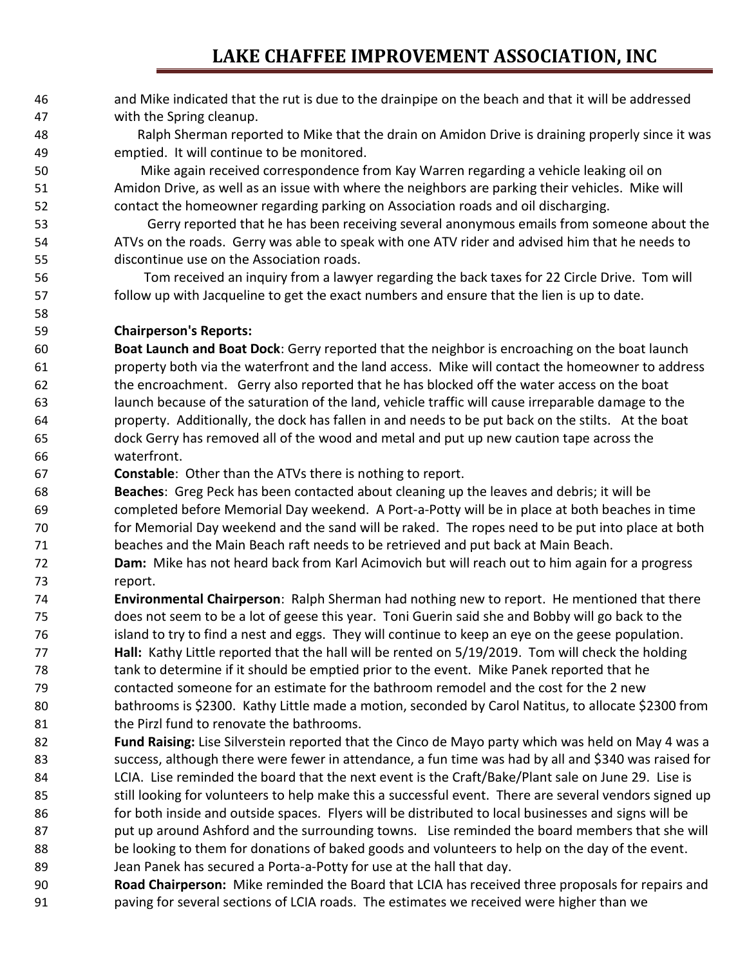and Mike indicated that the rut is due to the drainpipe on the beach and that it will be addressed with the Spring cleanup.

 Ralph Sherman reported to Mike that the drain on Amidon Drive is draining properly since it was emptied. It will continue to be monitored.

 Mike again received correspondence from Kay Warren regarding a vehicle leaking oil on Amidon Drive, as well as an issue with where the neighbors are parking their vehicles. Mike will contact the homeowner regarding parking on Association roads and oil discharging.

 Gerry reported that he has been receiving several anonymous emails from someone about the ATVs on the roads. Gerry was able to speak with one ATV rider and advised him that he needs to discontinue use on the Association roads.

 Tom received an inquiry from a lawyer regarding the back taxes for 22 Circle Drive. Tom will follow up with Jacqueline to get the exact numbers and ensure that the lien is up to date.

### **Chairperson's Reports:**

 **Boat Launch and Boat Dock**: Gerry reported that the neighbor is encroaching on the boat launch property both via the waterfront and the land access. Mike will contact the homeowner to address the encroachment. Gerry also reported that he has blocked off the water access on the boat launch because of the saturation of the land, vehicle traffic will cause irreparable damage to the property. Additionally, the dock has fallen in and needs to be put back on the stilts. At the boat dock Gerry has removed all of the wood and metal and put up new caution tape across the waterfront.

**Constable**: Other than the ATVs there is nothing to report.

 **Beaches**: Greg Peck has been contacted about cleaning up the leaves and debris; it will be completed before Memorial Day weekend. A Port-a-Potty will be in place at both beaches in time for Memorial Day weekend and the sand will be raked. The ropes need to be put into place at both beaches and the Main Beach raft needs to be retrieved and put back at Main Beach.

- **Dam:** Mike has not heard back from Karl Acimovich but will reach out to him again for a progress report.
- **Environmental Chairperson**: Ralph Sherman had nothing new to report. He mentioned that there does not seem to be a lot of geese this year. Toni Guerin said she and Bobby will go back to the island to try to find a nest and eggs. They will continue to keep an eye on the geese population. **Hall:** Kathy Little reported that the hall will be rented on 5/19/2019. Tom will check the holding tank to determine if it should be emptied prior to the event. Mike Panek reported that he contacted someone for an estimate for the bathroom remodel and the cost for the 2 new bathrooms is \$2300. Kathy Little made a motion, seconded by Carol Natitus, to allocate \$2300 from 81 the Pirzl fund to renovate the bathrooms.
- **Fund Raising:** Lise Silverstein reported that the Cinco de Mayo party which was held on May 4 was a success, although there were fewer in attendance, a fun time was had by all and \$340 was raised for LCIA. Lise reminded the board that the next event is the Craft/Bake/Plant sale on June 29. Lise is still looking for volunteers to help make this a successful event. There are several vendors signed up for both inside and outside spaces. Flyers will be distributed to local businesses and signs will be 87 put up around Ashford and the surrounding towns. Lise reminded the board members that she will be looking to them for donations of baked goods and volunteers to help on the day of the event. Jean Panek has secured a Porta-a-Potty for use at the hall that day.
- **Road Chairperson:** Mike reminded the Board that LCIA has received three proposals for repairs and paving for several sections of LCIA roads. The estimates we received were higher than we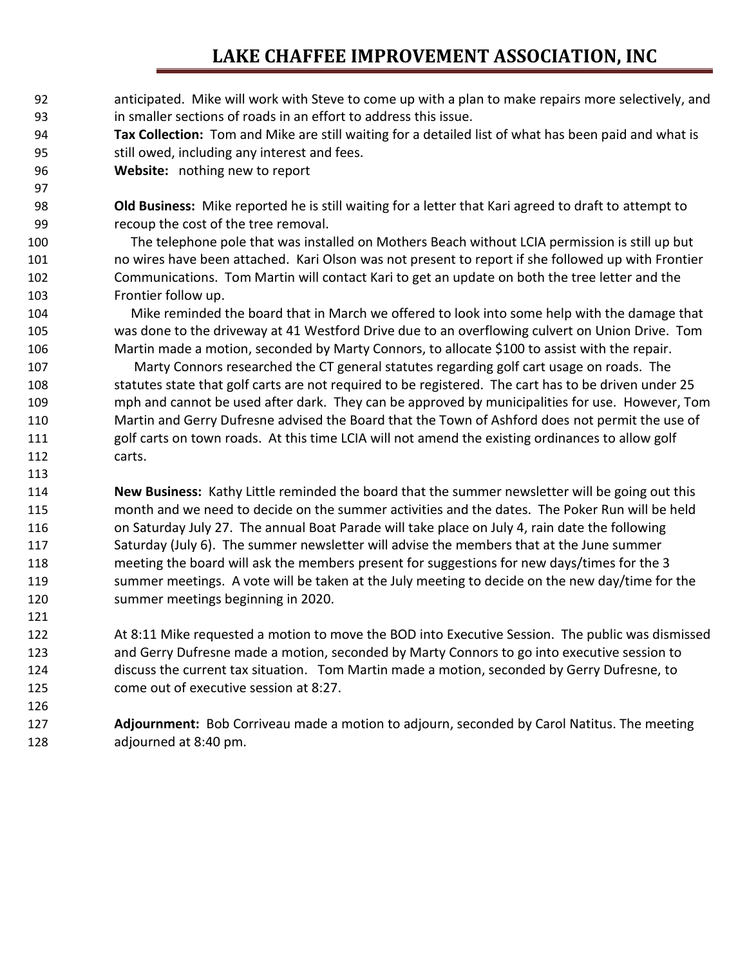## **LAKE CHAFFEE IMPROVEMENT ASSOCIATION, INC**

- anticipated. Mike will work with Steve to come up with a plan to make repairs more selectively, and in smaller sections of roads in an effort to address this issue.
- **Tax Collection:** Tom and Mike are still waiting for a detailed list of what has been paid and what is still owed, including any interest and fees.
- **Website:** nothing new to report

 **Old Business:** Mike reported he is still waiting for a letter that Kari agreed to draft to attempt to recoup the cost of the tree removal.

 The telephone pole that was installed on Mothers Beach without LCIA permission is still up but no wires have been attached. Kari Olson was not present to report if she followed up with Frontier Communications. Tom Martin will contact Kari to get an update on both the tree letter and the Frontier follow up.

 Mike reminded the board that in March we offered to look into some help with the damage that was done to the driveway at 41 Westford Drive due to an overflowing culvert on Union Drive. Tom Martin made a motion, seconded by Marty Connors, to allocate \$100 to assist with the repair.

 Marty Connors researched the CT general statutes regarding golf cart usage on roads. The statutes state that golf carts are not required to be registered. The cart has to be driven under 25 mph and cannot be used after dark. They can be approved by municipalities for use. However, Tom Martin and Gerry Dufresne advised the Board that the Town of Ashford does not permit the use of golf carts on town roads. At this time LCIA will not amend the existing ordinances to allow golf carts.

 **New Business:** Kathy Little reminded the board that the summer newsletter will be going out this month and we need to decide on the summer activities and the dates. The Poker Run will be held on Saturday July 27. The annual Boat Parade will take place on July 4, rain date the following 117 Saturday (July 6). The summer newsletter will advise the members that at the June summer meeting the board will ask the members present for suggestions for new days/times for the 3 summer meetings. A vote will be taken at the July meeting to decide on the new day/time for the summer meetings beginning in 2020.

 At 8:11 Mike requested a motion to move the BOD into Executive Session. The public was dismissed and Gerry Dufresne made a motion, seconded by Marty Connors to go into executive session to discuss the current tax situation. Tom Martin made a motion, seconded by Gerry Dufresne, to come out of executive session at 8:27.

 **Adjournment:** Bob Corriveau made a motion to adjourn, seconded by Carol Natitus. The meeting adjourned at 8:40 pm.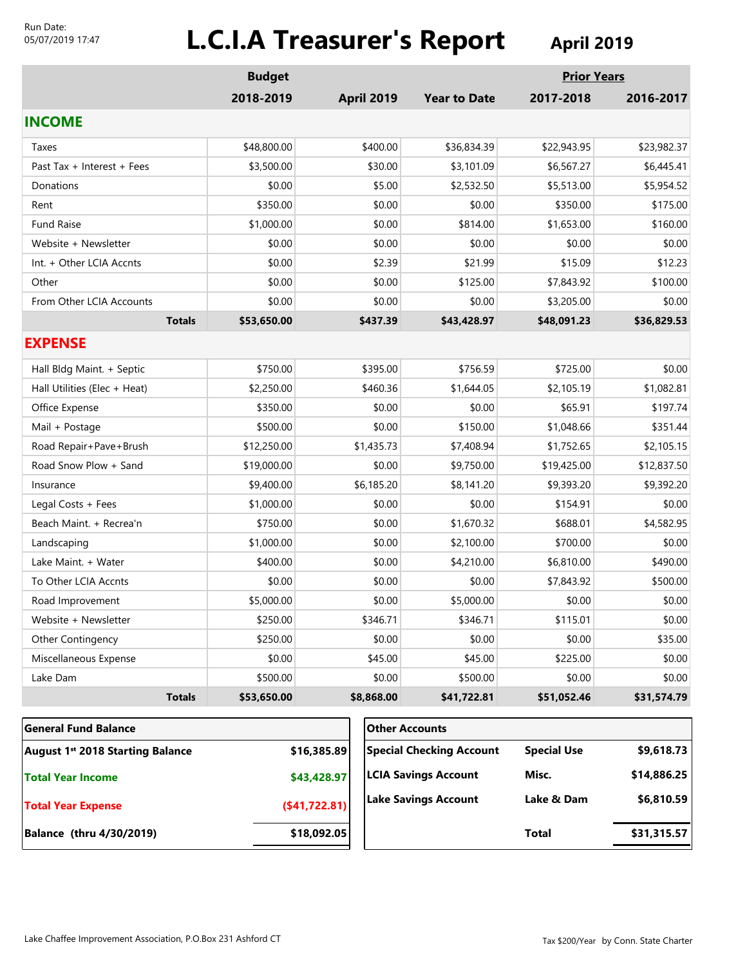#### Run Date: 05/07/2019 17:47

# **L.C.I.A Treasurer's Report April 2019**

|                                              | <b>Budget</b> |                   |                                 | <b>Prior Years</b> |             |
|----------------------------------------------|---------------|-------------------|---------------------------------|--------------------|-------------|
|                                              | 2018-2019     | <b>April 2019</b> | <b>Year to Date</b>             | 2017-2018          | 2016-2017   |
| <b>INCOME</b>                                |               |                   |                                 |                    |             |
| Taxes                                        | \$48,800.00   | \$400.00          | \$36,834.39                     | \$22,943.95        | \$23,982.37 |
| Past Tax + Interest + Fees                   | \$3,500.00    | \$30.00           | \$3,101.09                      | \$6,567.27         | \$6,445.41  |
| Donations                                    | \$0.00        | \$5.00            | \$2,532.50                      | \$5,513.00         | \$5,954.52  |
| Rent                                         | \$350.00      | \$0.00            | \$0.00                          | \$350.00           | \$175.00    |
| <b>Fund Raise</b>                            | \$1,000.00    | \$0.00            | \$814.00                        | \$1,653.00         | \$160.00    |
| Website + Newsletter                         | \$0.00        | \$0.00            | \$0.00                          | \$0.00             | \$0.00      |
| Int. + Other LCIA Accnts                     | \$0.00        | \$2.39            | \$21.99                         | \$15.09            | \$12.23     |
| Other                                        | \$0.00        | \$0.00            | \$125.00                        | \$7,843.92         | \$100.00    |
| From Other LCIA Accounts                     | \$0.00        | \$0.00            | \$0.00                          | \$3,205.00         | \$0.00      |
| <b>Totals</b>                                | \$53,650.00   | \$437.39          | \$43,428.97                     | \$48,091.23        | \$36,829.53 |
| <b>EXPENSE</b>                               |               |                   |                                 |                    |             |
| Hall Bldg Maint. + Septic                    | \$750.00      | \$395.00          | \$756.59                        | \$725.00           | \$0.00      |
| Hall Utilities (Elec + Heat)                 | \$2,250.00    | \$460.36          | \$1,644.05                      | \$2,105.19         | \$1,082.81  |
| Office Expense                               | \$350.00      | \$0.00            | \$0.00                          | \$65.91            | \$197.74    |
| Mail + Postage                               | \$500.00      | \$0.00            | \$150.00                        | \$1,048.66         | \$351.44    |
| Road Repair+Pave+Brush                       | \$12,250.00   | \$1,435.73        | \$7,408.94                      | \$1,752.65         | \$2,105.15  |
| Road Snow Plow + Sand                        | \$19,000.00   | \$0.00            | \$9,750.00                      | \$19,425.00        | \$12,837.50 |
| Insurance                                    | \$9,400.00    | \$6,185.20        | \$8,141.20                      | \$9,393.20         | \$9,392.20  |
| Legal Costs + Fees                           | \$1,000.00    | \$0.00            | \$0.00                          | \$154.91           | \$0.00      |
| Beach Maint. + Recrea'n                      | \$750.00      | \$0.00            | \$1,670.32                      | \$688.01           | \$4,582.95  |
| Landscaping                                  | \$1,000.00    | \$0.00            | \$2,100.00                      | \$700.00           | \$0.00      |
| Lake Maint. + Water                          | \$400.00      | \$0.00            | \$4,210.00                      | \$6,810.00         | \$490.00    |
| To Other LCIA Accnts                         | \$0.00        | \$0.00            | \$0.00                          | \$7,843.92         | \$500.00    |
| Road Improvement                             | \$5,000.00    | \$0.00            | \$5,000.00                      | \$0.00             | \$0.00      |
| Website + Newsletter                         | \$250.00      | \$346.71          | \$346.71                        | \$115.01           | \$0.00      |
| Other Contingency                            | \$250.00      | \$0.00            | \$0.00                          | \$0.00             | \$35.00     |
| Miscellaneous Expense                        | \$0.00        | \$45.00           | \$45.00                         | \$225.00           | \$0.00      |
| Lake Dam                                     | \$500.00      | \$0.00            | \$500.00                        | \$0.00             | \$0.00      |
| <b>Totals</b>                                | \$53,650.00   | \$8,868.00        | \$41,722.81                     | \$51,052.46        | \$31,574.79 |
| <b>General Fund Balance</b>                  |               |                   | <b>Other Accounts</b>           |                    |             |
| August 1 <sup>st</sup> 2018 Starting Balance |               | \$16,385.89       | <b>Special Checking Account</b> | <b>Special Use</b> | \$9,618.73  |
| \$43,428.97<br><b>Total Year Income</b>      |               |                   | <b>LCIA Savings Account</b>     | Misc.              | \$14,886.25 |

**(\$41,722.81)**

**Lake Savings Account**

**Balance (thru 4/30/2019) \$18,092.05**

**Total Year Expense**

**Total \$31,315.57**

**\$6,810.59**

**Lake & Dam**